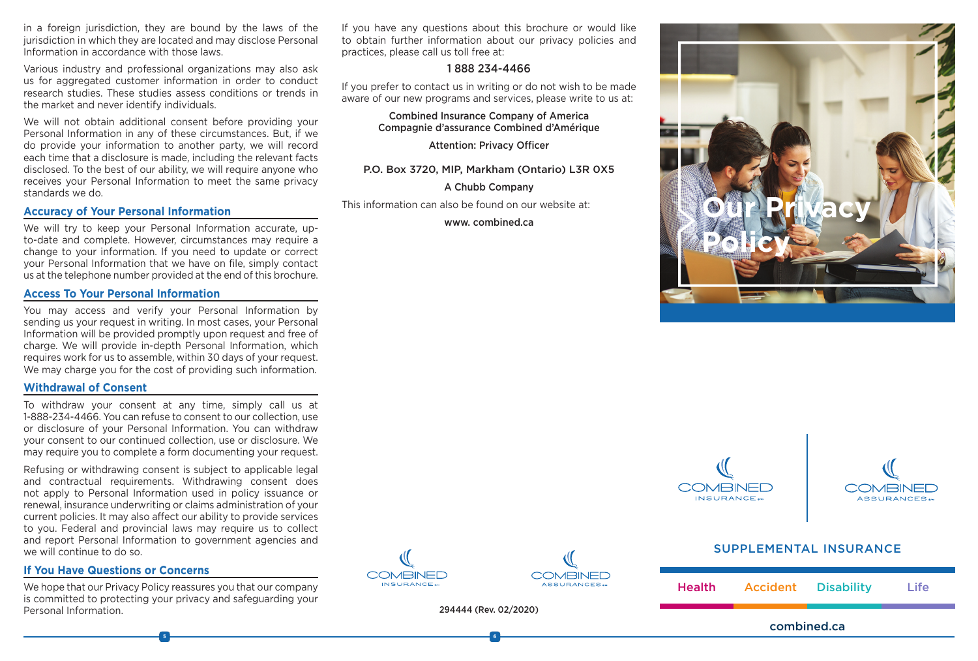in a foreign jurisdiction, they are bound by the laws of the jurisdiction in which they are located and may disclose Personal Information in accordance with those laws.

Various industry and professional organizations may also ask us for aggregated customer information in order to conduct research studies. These studies assess conditions or trends in the market and never identify individuals.

We will not obtain additional consent before providing your Personal Information in any of these circumstances. But, if we do provide your information to another party, we will record each time that a disclosure is made, including the relevant facts disclosed. To the best of our ability, we will require anyone who receives your Personal Information to meet the same privacy standards we do.

### **Accuracy of Your Personal Information**

We will try to keep your Personal Information accurate, upto-date and complete. However, circumstances may require a change to your information. If you need to update or correct your Personal Information that we have on file, simply contact us at the telephone number provided at the end of this brochure.

#### **Access To Your Personal Information**

You may access and verify your Personal Information by sending us your request in writing. In most cases, your Personal Information will be provided promptly upon request and free of charge. We will provide in-depth Personal Information, which requires work for us to assemble, within 30 days of your request. We may charge you for the cost of providing such information.

#### **Withdrawal of Consent**

To withdraw your consent at any time, simply call us at 1-888-234-4466. You can refuse to consent to our collection, use or disclosure of your Personal Information. You can withdraw your consent to our continued collection, use or disclosure. We may require you to complete a form documenting your request.

Refusing or withdrawing consent is subject to applicable legal and contractual requirements. Withdrawing consent does not apply to Personal Information used in policy issuance or renewal, insurance underwriting or claims administration of your current policies. It may also affect our ability to provide services to you. Federal and provincial laws may require us to collect and report Personal Information to government agencies and we will continue to do so.

### **If You Have Questions or Concerns**

We hope that our Privacy Policy reassures you that our company is committed to protecting your privacy and safeguarding your Personal Information.

If you have any questions about this brochure or would like to obtain further information about our privacy policies and practices, please call us toll free at:

### 1 888 234-4466

If you prefer to contact us in writing or do not wish to be made aware of our new programs and services, please write to us at:

> Combined Insurance Company of America Compagnie d'assurance Combined d'Amérique

> > Attention: Privacy Officer

### P.O. Box 3720, MIP, Markham (Ontario) L3R 0X5

#### A Chubb Company

This information can also be found on our website at:

www. combined.ca







## SUPPLEMENTAL INSURANCE





**5 6**



**COMBINED** 

ASSURANCES.